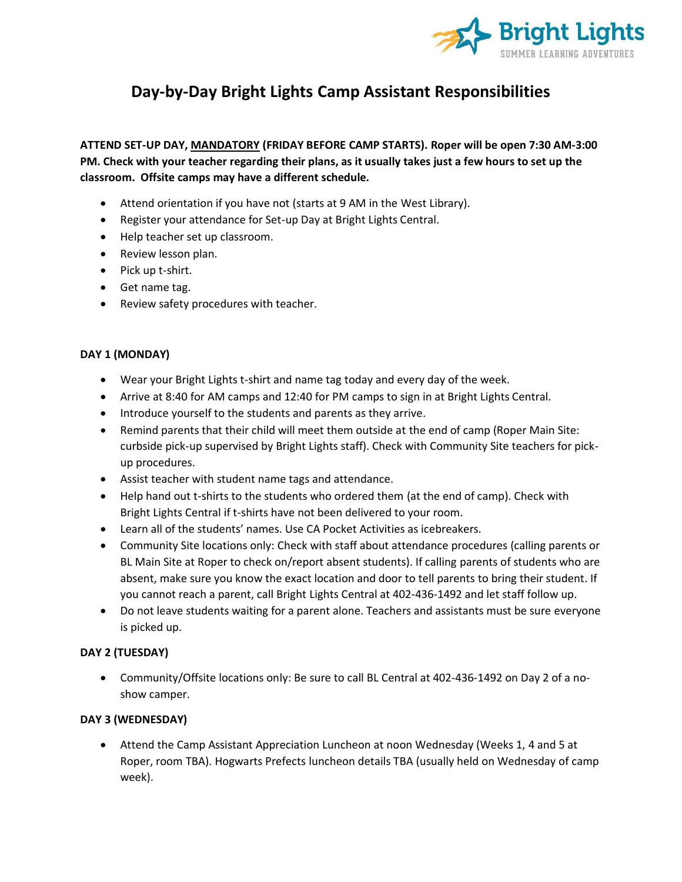

# **Day-by-Day Bright Lights Camp Assistant Responsibilities**

**ATTEND SET-UP DAY, MANDATORY (FRIDAY BEFORE CAMP STARTS). Roper will be open 7:30 AM-3:00 PM. Check with your teacher regarding their plans, as it usually takes just a few hours to set up the classroom. Offsite camps may have a different schedule.**

- Attend orientation if you have not (starts at 9 AM in the West Library).
- Register your attendance for Set-up Day at Bright Lights Central.
- Help teacher set up classroom.
- Review lesson plan.
- Pick up t-shirt.
- Get name tag.
- Review safety procedures with teacher.

# **DAY 1 (MONDAY)**

- Wear your Bright Lights t-shirt and name tag today and every day of the week.
- Arrive at 8:40 for AM camps and 12:40 for PM camps to sign in at Bright Lights Central.
- Introduce yourself to the students and parents as they arrive.
- Remind parents that their child will meet them outside at the end of camp (Roper Main Site: curbside pick-up supervised by Bright Lights staff). Check with Community Site teachers for pickup procedures.
- Assist teacher with student name tags and attendance.
- Help hand out t-shirts to the students who ordered them (at the end of camp). Check with Bright Lights Central if t-shirts have not been delivered to your room.
- Learn all of the students' names. Use CA Pocket Activities as icebreakers.
- Community Site locations only: Check with staff about attendance procedures (calling parents or BL Main Site at Roper to check on/report absent students). If calling parents of students who are absent, make sure you know the exact location and door to tell parents to bring their student. If you cannot reach a parent, call Bright Lights Central at 402-436-1492 and let staff follow up.
- Do not leave students waiting for a parent alone. Teachers and assistants must be sure everyone is picked up.

# **DAY 2 (TUESDAY)**

• Community/Offsite locations only: Be sure to call BL Central at 402-436-1492 on Day 2 of a noshow camper.

# **DAY 3 (WEDNESDAY)**

• Attend the Camp Assistant Appreciation Luncheon at noon Wednesday (Weeks 1, 4 and 5 at Roper, room TBA). Hogwarts Prefects luncheon details TBA (usually held on Wednesday of camp week).